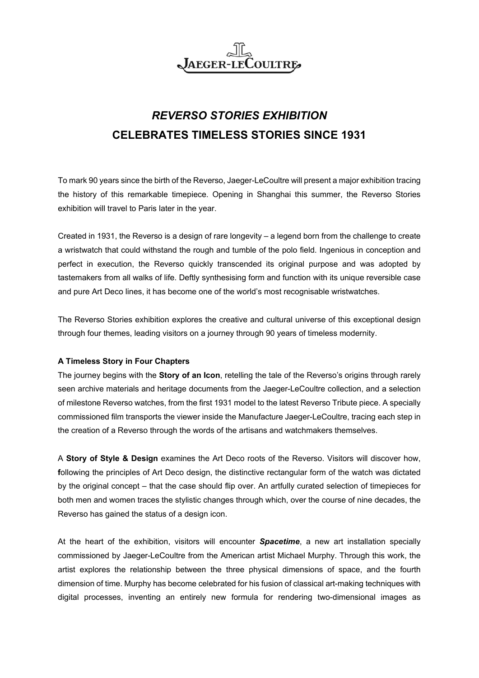

## *REVERSO STORIES EXHIBITION* **CELEBRATES TIMELESS STORIES SINCE 1931**

To mark 90 years since the birth of the Reverso, Jaeger-LeCoultre will present a major exhibition tracing the history of this remarkable timepiece. Opening in Shanghai this summer, the Reverso Stories exhibition will travel to Paris later in the year.

Created in 1931, the Reverso is a design of rare longevity – a legend born from the challenge to create a wristwatch that could withstand the rough and tumble of the polo field. Ingenious in conception and perfect in execution, the Reverso quickly transcended its original purpose and was adopted by tastemakers from all walks of life. Deftly synthesising form and function with its unique reversible case and pure Art Deco lines, it has become one of the world's most recognisable wristwatches.

The Reverso Stories exhibition explores the creative and cultural universe of this exceptional design through four themes, leading visitors on a journey through 90 years of timeless modernity.

## **A Timeless Story in Four Chapters**

The journey begins with the **Story of an Icon**, retelling the tale of the Reverso's origins through rarely seen archive materials and heritage documents from the Jaeger-LeCoultre collection, and a selection of milestone Reverso watches, from the first 1931 model to the latest Reverso Tribute piece. A specially commissioned film transports the viewer inside the Manufacture Jaeger-LeCoultre, tracing each step in the creation of a Reverso through the words of the artisans and watchmakers themselves.

A **Story of Style & Design** examines the Art Deco roots of the Reverso. Visitors will discover how, **f**ollowing the principles of Art Deco design, the distinctive rectangular form of the watch was dictated by the original concept – that the case should flip over. An artfully curated selection of timepieces for both men and women traces the stylistic changes through which, over the course of nine decades, the Reverso has gained the status of a design icon.

At the heart of the exhibition, visitors will encounter *Spacetime*, a new art installation specially commissioned by Jaeger-LeCoultre from the American artist Michael Murphy. Through this work, the artist explores the relationship between the three physical dimensions of space, and the fourth dimension of time. Murphy has become celebrated for his fusion of classical art-making techniques with digital processes, inventing an entirely new formula for rendering two-dimensional images as